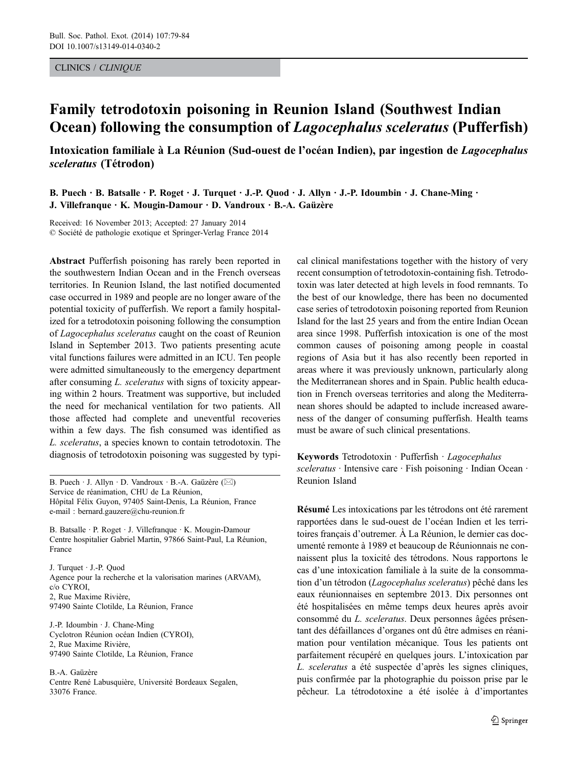#### CLINICS / CLINIQUE

# Family tetrodotoxin poisoning in Reunion Island (Southwest Indian Ocean) following the consumption of Lagocephalus sceleratus (Pufferfish)

Intoxication familiale à La Réunion (Sud-ouest de l'océan Indien), par ingestion de Lagocephalus sceleratus (Tétrodon)

B. Puech · B. Batsalle · P. Roget · J. Turquet · J.-P. Quod · J. Allyn · J.-P. Idoumbin · J. Chane-Ming · J. Villefranque · K. Mougin-Damour · D. Vandroux · B.-A. Gaüzère

Received: 16 November 2013; Accepted: 27 January 2014 © Société de pathologie exotique et Springer-Verlag France 2014

Abstract Pufferfish poisoning has rarely been reported in the southwestern Indian Ocean and in the French overseas territories. In Reunion Island, the last notified documented case occurred in 1989 and people are no longer aware of the potential toxicity of pufferfish. We report a family hospitalized for a tetrodotoxin poisoning following the consumption of Lagocephalus sceleratus caught on the coast of Reunion Island in September 2013. Two patients presenting acute vital functions failures were admitted in an ICU. Ten people were admitted simultaneously to the emergency department after consuming L. sceleratus with signs of toxicity appearing within 2 hours. Treatment was supportive, but included the need for mechanical ventilation for two patients. All those affected had complete and uneventful recoveries within a few days. The fish consumed was identified as L. sceleratus, a species known to contain tetrodotoxin. The diagnosis of tetrodotoxin poisoning was suggested by typi-

B. Puech · J. Allyn · D. Vandroux · B.-A. Gaüzère  $(\boxtimes)$ Service de réanimation, CHU de La Réunion, Hôpital Félix Guyon, 97405 Saint-Denis, La Réunion, France e-mail : bernard.gauzere@chu-reunion.fr

B. Batsalle · P. Roget · J. Villefranque · K. Mougin-Damour Centre hospitalier Gabriel Martin, 97866 Saint-Paul, La Réunion, France

J. Turquet · J.-P. Quod Agence pour la recherche et la valorisation marines (ARVAM), c/o CYROI, 2, Rue Maxime Rivière, 97490 Sainte Clotilde, La Réunion, France

J.-P. Idoumbin · J. Chane-Ming Cyclotron Réunion océan Indien (CYROI), 2, Rue Maxime Rivière, 97490 Sainte Clotilde, La Réunion, France

B.-A. Gaüzère Centre René Labusquière, Université Bordeaux Segalen, 33076 France.

cal clinical manifestations together with the history of very recent consumption of tetrodotoxin-containing fish. Tetrodotoxin was later detected at high levels in food remnants. To the best of our knowledge, there has been no documented case series of tetrodotoxin poisoning reported from Reunion Island for the last 25 years and from the entire Indian Ocean area since 1998. Pufferfish intoxication is one of the most common causes of poisoning among people in coastal regions of Asia but it has also recently been reported in areas where it was previously unknown, particularly along the Mediterranean shores and in Spain. Public health education in French overseas territories and along the Mediterranean shores should be adapted to include increased awareness of the danger of consuming pufferfish. Health teams must be aware of such clinical presentations.

Keywords Tetrodotoxin · Pufferfish · Lagocephalus sceleratus · Intensive care · Fish poisoning · Indian Ocean · Reunion Island

Résumé Les intoxications par les tétrodons ont été rarement rapportées dans le sud-ouest de l'océan Indien et les territoires français d'outremer. À La Réunion, le dernier cas documenté remonte à 1989 et beaucoup de Réunionnais ne connaissent plus la toxicité des tétrodons. Nous rapportons le cas d'une intoxication familiale à la suite de la consommation d'un tétrodon (Lagocephalus sceleratus) pêché dans les eaux réunionnaises en septembre 2013. Dix personnes ont été hospitalisées en même temps deux heures après avoir consommé du L. sceleratus. Deux personnes âgées présentant des défaillances d'organes ont dû être admises en réanimation pour ventilation mécanique. Tous les patients ont parfaitement récupéré en quelques jours. L'intoxication par L. sceleratus a été suspectée d'après les signes cliniques, puis confirmée par la photographie du poisson prise par le pêcheur. La tétrodotoxine a été isolée à d'importantes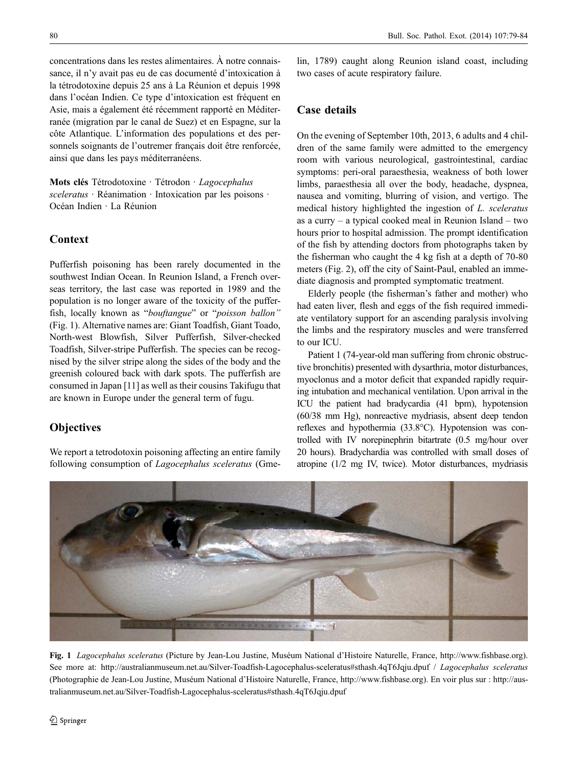concentrations dans les restes alimentaires. À notre connaissance, il n'y avait pas eu de cas documenté d'intoxication à la tétrodotoxine depuis 25 ans à La Réunion et depuis 1998 dans l'océan Indien. Ce type d'intoxication est fréquent en Asie, mais a également été récemment rapporté en Méditerranée (migration par le canal de Suez) et en Espagne, sur la côte Atlantique. L'information des populations et des personnels soignants de l'outremer français doit être renforcée, ainsi que dans les pays méditerranéens.

Mots clés Tétrodotoxine · Tétrodon · Lagocephalus sceleratus · Réanimation · Intoxication par les poisons · Océan Indien · La Réunion

## Context

Pufferfish poisoning has been rarely documented in the southwest Indian Ocean. In Reunion Island, a French overseas territory, the last case was reported in 1989 and the population is no longer aware of the toxicity of the pufferfish, locally known as "bouftangue" or "poisson ballon" (Fig. 1). Alternative names are: Giant Toadfish, Giant Toado, North-west Blowfish, Silver Pufferfish, Silver-checked Toadfish, Silver-stripe Pufferfish. The species can be recognised by the silver stripe along the sides of the body and the greenish coloured back with dark spots. The pufferfish are consumed in Japan [11] as well as their cousins Takifugu that are known in Europe under the general term of fugu.

# **Objectives**

We report a tetrodotoxin poisoning affecting an entire family following consumption of Lagocephalus sceleratus (Gme-

lin, 1789) caught along Reunion island coast, including two cases of acute respiratory failure.

## Case details

On the evening of September 10th, 2013, 6 adults and 4 children of the same family were admitted to the emergency room with various neurological, gastrointestinal, cardiac symptoms: peri-oral paraesthesia, weakness of both lower limbs, paraesthesia all over the body, headache, dyspnea, nausea and vomiting, blurring of vision, and vertigo. The medical history highlighted the ingestion of L. sceleratus as a curry – a typical cooked meal in Reunion Island – two hours prior to hospital admission. The prompt identification of the fish by attending doctors from photographs taken by the fisherman who caught the 4 kg fish at a depth of 70-80 meters (Fig. 2), off the city of Saint-Paul, enabled an immediate diagnosis and prompted symptomatic treatment.

Elderly people (the fisherman's father and mother) who had eaten liver, flesh and eggs of the fish required immediate ventilatory support for an ascending paralysis involving the limbs and the respiratory muscles and were transferred to our ICU.

Patient 1 (74-year-old man suffering from chronic obstructive bronchitis) presented with dysarthria, motor disturbances, myoclonus and a motor deficit that expanded rapidly requiring intubation and mechanical ventilation. Upon arrival in the ICU the patient had bradycardia (41 bpm), hypotension (60/38 mm Hg), nonreactive mydriasis, absent deep tendon reflexes and hypothermia (33.8°C). Hypotension was controlled with IV norepinephrin bitartrate (0.5 mg/hour over 20 hours). Bradychardia was controlled with small doses of atropine (1/2 mg IV, twice). Motor disturbances, mydriasis



Fig. 1 Lagocephalus sceleratus (Picture by Jean-Lou Justine, Muséum National d'Histoire Naturelle, France, http://www.fishbase.org). See more at: http://australianmuseum.net.au/Silver-Toadfish-Lagocephalus-sceleratus#sthash.4qT6Jqju.dpuf / Lagocephalus sceleratus (Photographie de Jean-Lou Justine, Muséum National d'Histoire Naturelle, France, http://www.fishbase.org). En voir plus sur : http://australianmuseum.net.au/Silver-Toadfish-Lagocephalus-sceleratus#sthash.4qT6Jqju.dpuf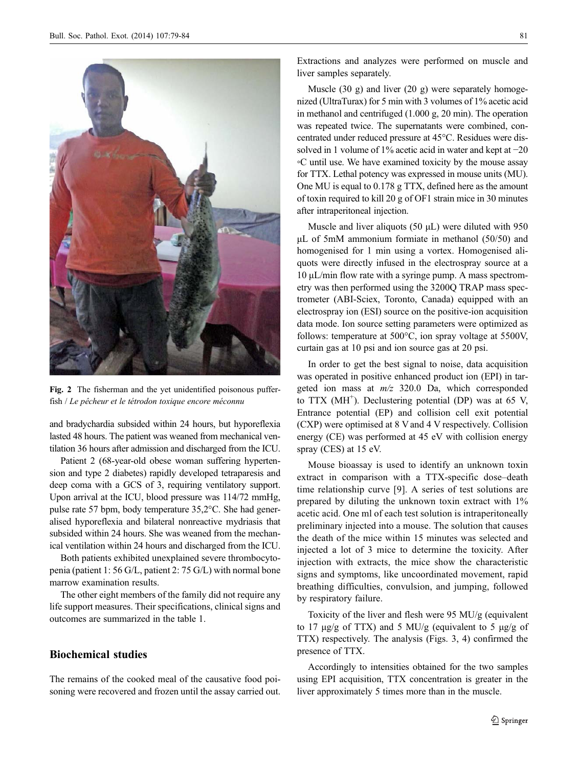

Fig. 2 The fisherman and the yet unidentified poisonous pufferfish / Le pêcheur et le tétrodon toxique encore méconnu

and bradychardia subsided within 24 hours, but hyporeflexia lasted 48 hours. The patient was weaned from mechanical ventilation 36 hours after admission and discharged from the ICU.

Patient 2 (68-year-old obese woman suffering hypertension and type 2 diabetes) rapidly developed tetraparesis and deep coma with a GCS of 3, requiring ventilatory support. Upon arrival at the ICU, blood pressure was 114/72 mmHg, pulse rate 57 bpm, body temperature 35,2°C. She had generalised hyporeflexia and bilateral nonreactive mydriasis that subsided within 24 hours. She was weaned from the mechanical ventilation within 24 hours and discharged from the ICU.

Both patients exhibited unexplained severe thrombocytopenia (patient 1: 56 G/L, patient 2: 75 G/L) with normal bone marrow examination results.

The other eight members of the family did not require any life support measures. Their specifications, clinical signs and outcomes are summarized in the table 1.

#### Biochemical studies

The remains of the cooked meal of the causative food poisoning were recovered and frozen until the assay carried out.

Muscle  $(30 \text{ g})$  and liver  $(20 \text{ g})$  were separately homogenized (UltraTurax) for 5 min with 3 volumes of 1% acetic acid in methanol and centrifuged (1.000 g, 20 min). The operation was repeated twice. The supernatants were combined, concentrated under reduced pressure at 45°C. Residues were dissolved in 1 volume of 1% acetic acid in water and kept at −20 ◦C until use. We have examined toxicity by the mouse assay for TTX. Lethal potency was expressed in mouse units (MU). One MU is equal to 0.178 g TTX, defined here as the amount of toxin required to kill 20 g of OF1 strain mice in 30 minutes after intraperitoneal injection.

Muscle and liver aliquots (50 μL) were diluted with 950 μL of 5mM ammonium formiate in methanol (50/50) and homogenised for 1 min using a vortex. Homogenised aliquots were directly infused in the electrospray source at a 10 μL/min flow rate with a syringe pump. A mass spectrometry was then performed using the 3200Q TRAP mass spectrometer (ABI-Sciex, Toronto, Canada) equipped with an electrospray ion (ESI) source on the positive-ion acquisition data mode. Ion source setting parameters were optimized as follows: temperature at 500°C, ion spray voltage at 5500V, curtain gas at 10 psi and ion source gas at 20 psi.

In order to get the best signal to noise, data acquisition was operated in positive enhanced product ion (EPI) in targeted ion mass at  $m/z$  320.0 Da, which corresponded to TTX (MH<sup>+</sup>). Declustering potential (DP) was at 65 V, Entrance potential (EP) and collision cell exit potential (CXP) were optimised at 8 V and 4 V respectively. Collision energy (CE) was performed at 45 eV with collision energy spray (CES) at 15 eV.

Mouse bioassay is used to identify an unknown toxin extract in comparison with a TTX-specific dose–death time relationship curve [9]. A series of test solutions are prepared by diluting the unknown toxin extract with 1% acetic acid. One ml of each test solution is intraperitoneally preliminary injected into a mouse. The solution that causes the death of the mice within 15 minutes was selected and injected a lot of 3 mice to determine the toxicity. After injection with extracts, the mice show the characteristic signs and symptoms, like uncoordinated movement, rapid breathing difficulties, convulsion, and jumping, followed by respiratory failure.

Toxicity of the liver and flesh were 95 MU/g (equivalent to 17 μg/g of TTX) and 5 MU/g (equivalent to 5 μg/g of TTX) respectively. The analysis (Figs. 3, 4) confirmed the presence of TTX.

Accordingly to intensities obtained for the two samples using EPI acquisition, TTX concentration is greater in the liver approximately 5 times more than in the muscle.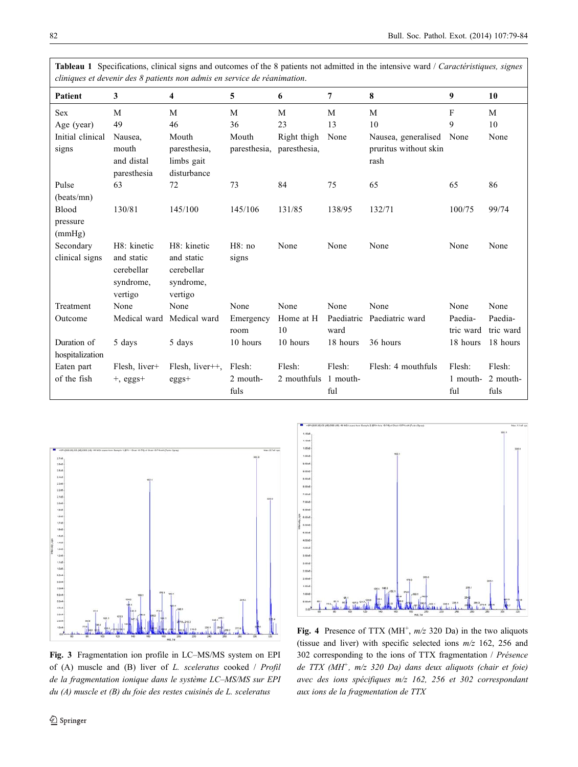| cliniques et devenir des 8 patients non admis en service de réanimation. |                                                  |                                                    |                       |                             |                    |                                                      |                      |                      |
|--------------------------------------------------------------------------|--------------------------------------------------|----------------------------------------------------|-----------------------|-----------------------------|--------------------|------------------------------------------------------|----------------------|----------------------|
| Patient                                                                  | 3                                                | 4                                                  | 5                     | 6                           | $\overline{7}$     | 8                                                    | 9                    | 10                   |
| Sex                                                                      | M                                                | M                                                  | M                     | M                           | M                  | M                                                    | F                    | M                    |
| Age (year)                                                               | 49                                               | 46                                                 | 36                    | 23                          | 13                 | 10                                                   | 9                    | 10                   |
| Initial clinical<br>signs                                                | Nausea,<br>mouth<br>and distal<br>paresthesia    | Mouth<br>paresthesia,<br>limbs gait<br>disturbance | Mouth<br>paresthesia, | Right thigh<br>paresthesia, | None               | Nausea, generalised<br>pruritus without skin<br>rash | None                 | None                 |
| Pulse                                                                    | 63                                               | 72                                                 | 73                    | 84                          | 75                 | 65                                                   | 65                   | 86                   |
| (beats/mn)                                                               |                                                  |                                                    |                       |                             |                    |                                                      |                      |                      |
| Blood<br>pressure<br>(mmHg)                                              | 130/81                                           | 145/100                                            | 145/106               | 131/85                      | 138/95             | 132/71                                               | 100/75               | 99/74                |
| Secondary                                                                | H8: kinetic                                      | H8: kinetic                                        | H8:no                 | None                        | None               | None                                                 | None                 | None                 |
| clinical signs                                                           | and static<br>cerebellar<br>syndrome,<br>vertigo | and static<br>cerebellar<br>syndrome,<br>vertigo   | signs                 |                             |                    |                                                      |                      |                      |
| Treatment                                                                | None                                             | None                                               | None                  | None                        | None               | None                                                 | None                 | None                 |
| Outcome                                                                  | Medical ward                                     | Medical ward                                       | Emergency<br>room     | Home at H<br>10             | Paediatric<br>ward | Paediatric ward                                      | Paedia-<br>tric ward | Paedia-<br>tric ward |
| Duration of<br>hospitalization                                           | 5 days                                           | 5 days                                             | 10 hours              | 10 hours                    | 18 hours           | 36 hours                                             | 18 hours             | 18 hours             |
| Eaten part                                                               | Flesh, liver+                                    | Flesh, liver $++$ ,                                | Flesh:                | Flesh:                      | Flesh:             | Flesh: 4 mouthfuls                                   | Flesh:               | Flesh:               |
| of the fish                                                              | $+$ , eggs $+$                                   | $eggs+$                                            | 2 mouth-<br>fuls      | 2 mouthfuls                 | 1 mouth-<br>ful    |                                                      | 1 mouth-<br>ful      | 2 mouth-<br>fuls     |

Tableau 1 Specifications, clinical signs and outcomes of the 8 patients not admitted in the intensive ward / Caractéristiques, signes cliniques et devenir des 8 patients non admis en service de réanimation.



Fig. 3 Fragmentation ion profile in LC–MS/MS system on EPI of (A) muscle and (B) liver of L. sceleratus cooked / Profil de la fragmentation ionique dans le système LC–MS/MS sur EPI du (A) muscle et (B) du foie des restes cuisinés de L. sceleratus



Fig. 4 Presence of TTX (MH<sup>+</sup>,  $m/z$  320 Da) in the two aliquots (tissue and liver) with specific selected ions  $m/z$  162, 256 and 302 corresponding to the ions of TTX fragmentation / Présence de TTX (MH<sup>+</sup>, m/z 320 Da) dans deux aliquots (chair et foie) avec des ions spécifiques m/z 162, 256 et 302 correspondant aux ions de la fragmentation de TTX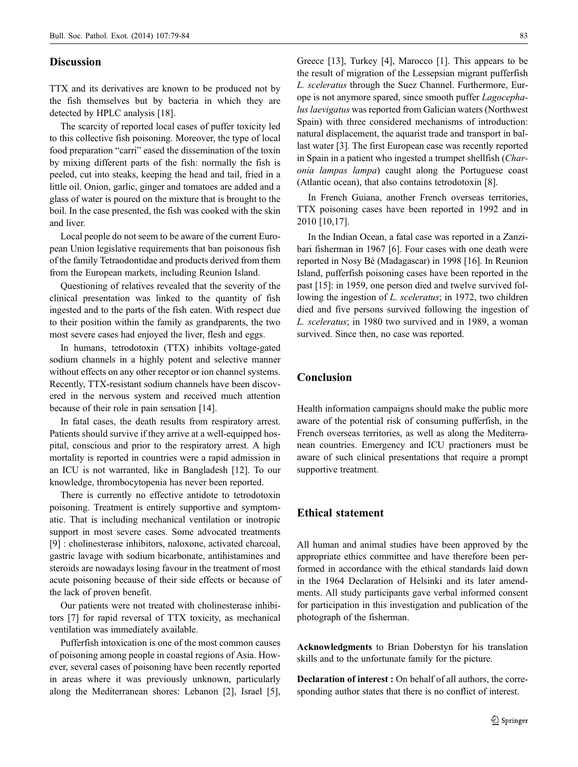### **Discussion**

TTX and its derivatives are known to be produced not by the fish themselves but by bacteria in which they are detected by HPLC analysis [18].

The scarcity of reported local cases of puffer toxicity led to this collective fish poisoning. Moreover, the type of local food preparation "carri" eased the dissemination of the toxin by mixing different parts of the fish: normally the fish is peeled, cut into steaks, keeping the head and tail, fried in a little oil. Onion, garlic, ginger and tomatoes are added and a glass of water is poured on the mixture that is brought to the boil. In the case presented, the fish was cooked with the skin and liver.

Local people do not seem to be aware of the current European Union legislative requirements that ban poisonous fish of the family Tetraodontidae and products derived from them from the European markets, including Reunion Island.

Questioning of relatives revealed that the severity of the clinical presentation was linked to the quantity of fish ingested and to the parts of the fish eaten. With respect due to their position within the family as grandparents, the two most severe cases had enjoyed the liver, flesh and eggs.

In humans, tetrodotoxin (TTX) inhibits voltage-gated sodium channels in a highly potent and selective manner without effects on any other receptor or ion channel systems. Recently, TTX-resistant sodium channels have been discovered in the nervous system and received much attention because of their role in pain sensation [14].

In fatal cases, the death results from respiratory arrest. Patients should survive if they arrive at a well-equipped hospital, conscious and prior to the respiratory arrest. A high mortality is reported in countries were a rapid admission in an ICU is not warranted, like in Bangladesh [12]. To our knowledge, thrombocytopenia has never been reported.

There is currently no effective antidote to tetrodotoxin poisoning. Treatment is entirely supportive and symptomatic. That is including mechanical ventilation or inotropic support in most severe cases. Some advocated treatments [9] : cholinesterase inhibitors, naloxone, activated charcoal, gastric lavage with sodium bicarbonate, antihistamines and steroids are nowadays losing favour in the treatment of most acute poisoning because of their side effects or because of the lack of proven benefit.

Our patients were not treated with cholinesterase inhibitors [7] for rapid reversal of TTX toxicity, as mechanical ventilation was immediately available.

Pufferfish intoxication is one of the most common causes of poisoning among people in coastal regions of Asia. However, several cases of poisoning have been recently reported in areas where it was previously unknown, particularly along the Mediterranean shores: Lebanon [2], Israel [5],

Greece [13], Turkey [4], Marocco [1]. This appears to be the result of migration of the Lessepsian migrant pufferfish L. sceleratus through the Suez Channel. Furthermore, Europe is not anymore spared, since smooth puffer Lagocephalus laevigatus was reported from Galician waters (Northwest Spain) with three considered mechanisms of introduction: natural displacement, the aquarist trade and transport in ballast water [3]. The first European case was recently reported in Spain in a patient who ingested a trumpet shellfish (Charonia lampas lampa) caught along the Portuguese coast (Atlantic ocean), that also contains tetrodotoxin [8].

In French Guiana, another French overseas territories, TTX poisoning cases have been reported in 1992 and in 2010 [10,17].

In the Indian Ocean, a fatal case was reported in a Zanzibari fisherman in 1967 [6]. Four cases with one death were reported in Nosy Bé (Madagascar) in 1998 [16]. In Reunion Island, pufferfish poisoning cases have been reported in the past [15]: in 1959, one person died and twelve survived following the ingestion of L. sceleratus; in 1972, two children died and five persons survived following the ingestion of L. sceleratus; in 1980 two survived and in 1989, a woman survived. Since then, no case was reported.

# Conclusion

Health information campaigns should make the public more aware of the potential risk of consuming pufferfish, in the French overseas territories, as well as along the Mediterranean countries. Emergency and ICU practioners must be aware of such clinical presentations that require a prompt supportive treatment.

#### Ethical statement

All human and animal studies have been approved by the appropriate ethics committee and have therefore been performed in accordance with the ethical standards laid down in the 1964 Declaration of Helsinki and its later amendments. All study participants gave verbal informed consent for participation in this investigation and publication of the photograph of the fisherman.

Acknowledgments to Brian Doberstyn for his translation skills and to the unfortunate family for the picture.

Declaration of interest : On behalf of all authors, the corresponding author states that there is no conflict of interest.